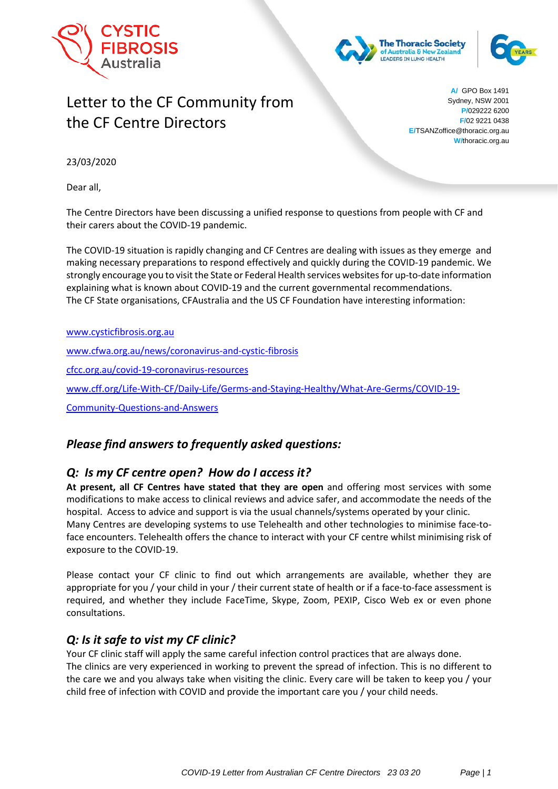





# Letter to the CF Community from the CF Centre Directors

**A/** GPO Box 1491 Sydney, NSW 2001 **P/**029222 6200 **F/**02 9221 0438 **E/**TSANZoffice@thoracic.org.au **W/**thoracic.org.au

23/03/2020

Dear all,

The Centre Directors have been discussing a unified response to questions from people with CF and their carers about the COVID-19 pandemic.

The COVID-19 situation is rapidly changing and CF Centres are dealing with issues as they emerge and making necessary preparations to respond effectively and quickly during the COVID-19 pandemic. We strongly encourage you to visit the State or Federal Health services websitesfor up-to-date information explaining what is known about COVID-19 and the current governmental recommendations. The CF State organisations, CFAustralia and the US CF Foundation have interesting information:

[www.cysticfibrosis.org.au](http://www.cysticfibrosis.org.au/)

[www.cfwa.org.au/news/coronavirus-and-cystic-fibrosis](http://www.cfwa.org.au/news/coronavirus-and-cystic-fibrosis)

[cfcc.org.au/covid-19-coronavirus-resources](http://www.cfcc.org.au/covid-19-coronavirus-resources) 

[www.cff.org/Life-With-CF/Daily-Life/Germs-and-Staying-Healthy/What-Are-Germs/COVID-19-](http://www.cff.org/Life-With-CF/Daily-Life/Germs-and-Staying-Healthy/What-Are-Germs/COVID-19-Community-Questions-and-Answers)

[Community-Questions-and-Answers](http://www.cff.org/Life-With-CF/Daily-Life/Germs-and-Staying-Healthy/What-Are-Germs/COVID-19-Community-Questions-and-Answers)

## *Please find answers to frequently asked questions:*

## *Q: Is my CF centre open? How do I access it?*

**At present, all CF Centres have stated that they are open** and offering most services with some modifications to make access to clinical reviews and advice safer, and accommodate the needs of the hospital. Access to advice and support is via the usual channels/systems operated by your clinic. Many Centres are developing systems to use Telehealth and other technologies to minimise face-toface encounters. Telehealth offers the chance to interact with your CF centre whilst minimising risk of exposure to the COVID-19.

Please contact your CF clinic to find out which arrangements are available, whether they are appropriate for you / your child in your / their current state of health or if a face-to-face assessment is required, and whether they include FaceTime, Skype, Zoom, PEXIP, Cisco Web ex or even phone consultations.

## *Q: Is it safe to vist my CF clinic?*

Your CF clinic staff will apply the same careful infection control practices that are always done. The clinics are very experienced in working to prevent the spread of infection. This is no different to the care we and you always take when visiting the clinic. Every care will be taken to keep you / your child free of infection with COVID and provide the important care you / your child needs.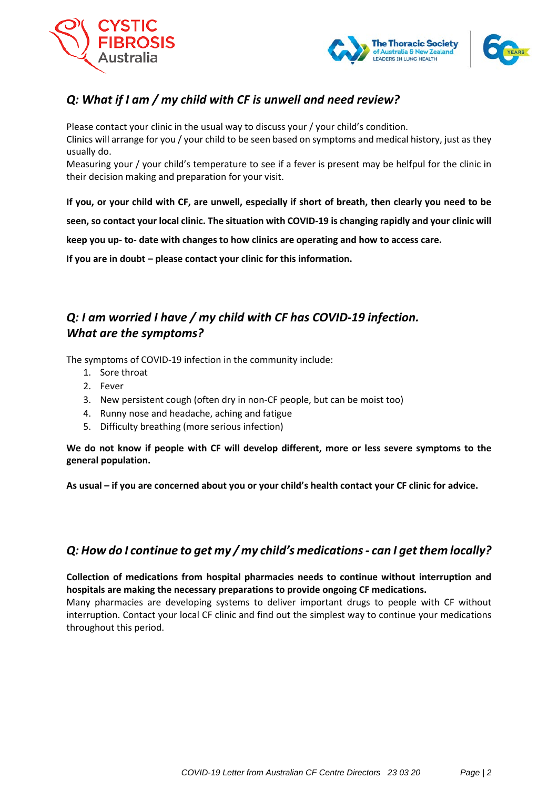



## *Q: What if I am / my child with CF is unwell and need review?*

Please contact your clinic in the usual way to discuss your / your child's condition. Clinics will arrange for you / your child to be seen based on symptoms and medical history, just as they usually do.

Measuring your / your child's temperature to see if a fever is present may be helfpul for the clinic in their decision making and preparation for your visit.

**If you, or your child with CF, are unwell, especially if short of breath, then clearly you need to be seen, so contact your local clinic. The situation with COVID-19 is changing rapidly and your clinic will keep you up- to- date with changes to how clinics are operating and how to access care.** 

**If you are in doubt – please contact your clinic for this information.** 

## *Q: I am worried I have / my child with CF has COVID-19 infection. What are the symptoms?*

The symptoms of COVID-19 infection in the community include:

- 1. Sore throat
- 2. Fever
- 3. New persistent cough (often dry in non-CF people, but can be moist too)
- 4. Runny nose and headache, aching and fatigue
- 5. Difficulty breathing (more serious infection)

**We do not know if people with CF will develop different, more or less severe symptoms to the general population.** 

**As usual – if you are concerned about you or your child's health contact your CF clinic for advice.** 

## *Q: How do I continue to get my / my child's medications- can I get them locally?*

**Collection of medications from hospital pharmacies needs to continue without interruption and hospitals are making the necessary preparations to provide ongoing CF medications.** 

Many pharmacies are developing systems to deliver important drugs to people with CF without interruption. Contact your local CF clinic and find out the simplest way to continue your medications throughout this period.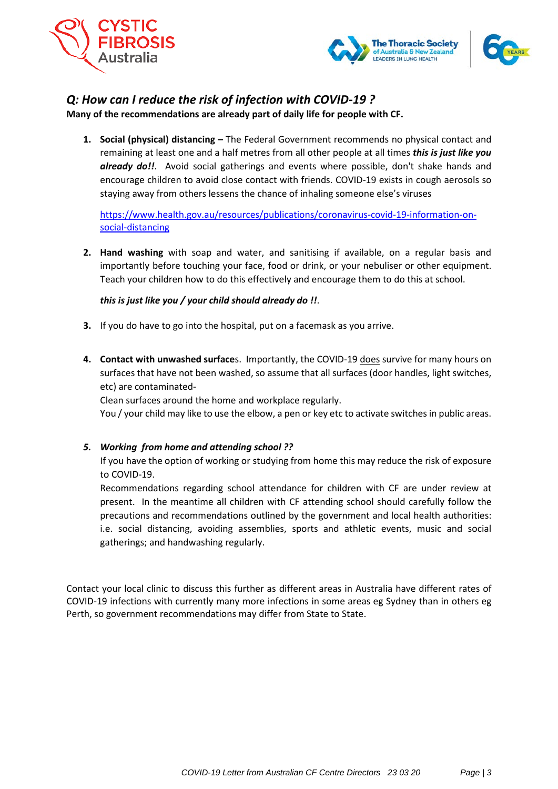



## *Q: How can I reduce the risk of infection with COVID-19 ?*

**Many of the recommendations are already part of daily life for people with CF.**

**1. Social (physical) distancing –** The Federal Government recommends no physical contact and remaining at least one and a half metres from all other people at all times *this is just like you already do!!*. Avoid social gatherings and events where possible, don't shake hands and encourage children to avoid close contact with friends. COVID-19 exists in cough aerosols so staying away from others lessens the chance of inhaling someone else's viruses

[https://www.health.gov.au/resources/publications/coronavirus-covid-19-information-on](https://www.health.gov.au/resources/publications/coronavirus-covid-19-information-on-social-distancing)[social-distancing](https://www.health.gov.au/resources/publications/coronavirus-covid-19-information-on-social-distancing)

**2. Hand washing** with soap and water, and sanitising if available, on a regular basis and importantly before touching your face, food or drink, or your nebuliser or other equipment. Teach your children how to do this effectively and encourage them to do this at school.

### *this is just like you / your child should already do !!*.

- **3.** If you do have to go into the hospital, put on a facemask as you arrive.
- **4. Contact with unwashed surface**s. Importantly, the COVID-19 does survive for many hours on surfaces that have not been washed, so assume that all surfaces (door handles, light switches, etc) are contaminated-

Clean surfaces around the home and workplace regularly.

You / your child may like to use the elbow, a pen or key etc to activate switches in public areas.

#### *5. Working from home and attending school ??*

If you have the option of working or studying from home this may reduce the risk of exposure to COVID-19.

Recommendations regarding school attendance for children with CF are under review at present. In the meantime all children with CF attending school should carefully follow the precautions and recommendations outlined by the government and local health authorities: i.e. social distancing, avoiding assemblies, sports and athletic events, music and social gatherings; and handwashing regularly.

Contact your local clinic to discuss this further as different areas in Australia have different rates of COVID-19 infections with currently many more infections in some areas eg Sydney than in others eg Perth, so government recommendations may differ from State to State.